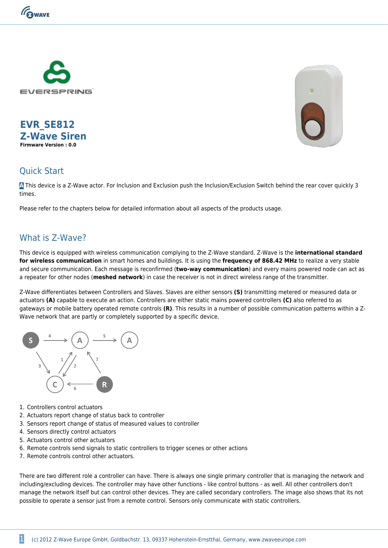

**EVR\_SE812 Z-Wave Siren Firmware Version : 0.0**



#### Quick Start

**A** This device is a Z-Wave actor. For Inclusion and Exclusion push the Inclusion/Exclusion Switch behind the rear cover quickly 3 times.

Please refer to the chapters below for detailed information about all aspects of the products usage.

## What is 7-Wave?

This device is equipped with wireless communication complying to the Z-Wave standard. Z-Wave is the **international standard for wireless communication** in smart homes and buildings. It is using the **frequency of 868.42 MHz** to realize a very stable and secure communication. Each message is reconfirmed (**two-way communication**) and every mains powered node can act as a repeater for other nodes (**meshed network**) in case the receiver is not in direct wireless range of the transmitter.

Z-Wave differentiates between Controllers and Slaves. Slaves are either sensors **(S)** transmitting metered or measured data or actuators **(A)** capable to execute an action. Controllers are either static mains powered controllers **(C)** also referred to as gateways or mobile battery operated remote controls **(R)**. This results in a number of possible communication patterns within a Z-Wave network that are partly or completely supported by a specific device.



- 1. Controllers control actuators
- 2. Actuators report change of status back to controller
- 3. Sensors report change of status of measured values to controller
- 4. Sensors directly control actuators
- 5. Actuators control other actuators
- 6. Remote controls send signals to static controllers to trigger scenes or other actions
- 7. Remote controls control other actuators.

There are two different role a controller can have. There is always one single primary controller that is managing the network and including/excluding devices. The controller may have other functions - like control buttons - as well. All other controllers don't manage the network itself but can control other devices. They are called secondary controllers. The image also shows that its not possible to operate a sensor just from a remote control. Sensors only communicate with static controllers.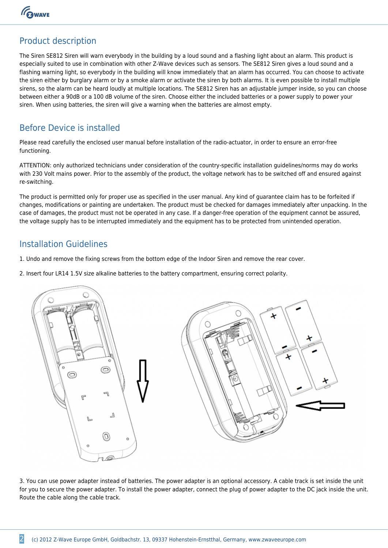GWAVE

## Product description

The Siren SE812 Siren will warn everybody in the building by a loud sound and a flashing light about an alarm. This product is especially suited to use in combination with other Z-Wave devices such as sensors. The SE812 Siren gives a loud sound and a flashing warning light, so everybody in the building will know immediately that an alarm has occurred. You can choose to activate the siren either by burglary alarm or by a smoke alarm or activate the siren by both alarms. It is even possible to install multiple sirens, so the alarm can be heard loudly at multiple locations. The SE812 Siren has an adjustable jumper inside, so you can choose between either a 90dB or a 100 dB volume of the siren. Choose either the included batteries or a power supply to power your siren. When using batteries, the siren will give a warning when the batteries are almost empty.

#### Before Device is installed

Please read carefully the enclosed user manual before installation of the radio-actuator, in order to ensure an error-free functioning.

ATTENTION: only authorized technicians under consideration of the country-specific installation guidelines/norms may do works with 230 Volt mains power. Prior to the assembly of the product, the voltage network has to be switched off and ensured against re-switching.

The product is permitted only for proper use as specified in the user manual. Any kind of guarantee claim has to be forfeited if changes, modifications or painting are undertaken. The product must be checked for damages immediately after unpacking. In the case of damages, the product must not be operated in any case. If a danger-free operation of the equipment cannot be assured, the voltage supply has to be interrupted immediately and the equipment has to be protected from unintended operation.

#### Installation Guidelines

- 1. Undo and remove the fixing screws from the bottom edge of the Indoor Siren and remove the rear cover.
- 2. Insert four LR14 1.5V size alkaline batteries to the battery compartment, ensuring correct polarity.



3. You can use power adapter instead of batteries. The power adapter is an optional accessory. A cable track is set inside the unit for you to secure the power adapter. To install the power adapter, connect the plug of power adapter to the DC jack inside the unit. Route the cable along the cable track.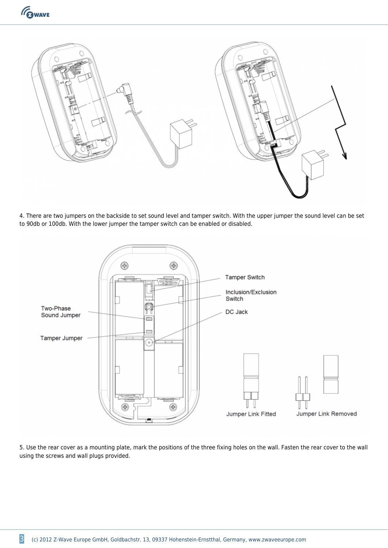



4. There are two jumpers on the backside to set sound level and tamper switch. With the upper jumper the sound level can be set to 90db or 100db. With the lower jumper the tamper switch can be enabled or disabled.



5. Use the rear cover as a mounting plate, mark the positions of the three fixing holes on the wall. Fasten the rear cover to the wall using the screws and wall plugs provided.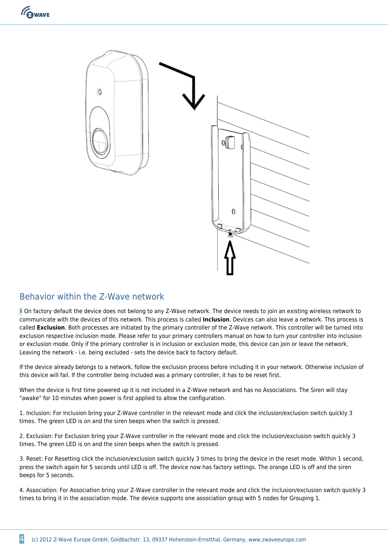

## Behavior within the Z-Wave network

**I** On factory default the device does not belong to any Z-Wave network. The device needs to join an existing wireless network to communicate with the devices of this network. This process is called **Inclusion**. Devices can also leave a network. This process is called **Exclusion**. Both processes are initiated by the primary controller of the Z-Wave network. This controller will be turned into exclusion respective inclusion mode. Please refer to your primary controllers manual on how to turn your controller into inclusion or exclusion mode. Only if the primary controller is in inclusion or exclusion mode, this device can join or leave the network. Leaving the network - i.e. being excluded - sets the device back to factory default.

If the device already belongs to a network, follow the exclusion process before including it in your network. Otherwise inclusion of this device will fail. If the controller being included was a primary controller, it has to be reset first.

When the device is first time powered up it is not included in a Z-Wave network and has no Associations. The Siren will stay "awake" for 10 minutes when power is first applied to allow the configuration.

1. Inclusion: For Inclusion bring your Z-Wave controller in the relevant mode and click the inclusion/exclusion switch quickly 3 times. The green LED is on and the siren beeps when the switch is pressed.

2. Exclusion: For Exclusion bring your Z-Wave controller in the relevant mode and click the inclusion/exclusion switch quickly 3 times. The green LED is on and the siren beeps when the switch is pressed.

3. Reset: For Resetting click the inclusion/exclusion switch quickly 3 times to bring the device in the reset mode. Within 1 second, press the switch again for 5 seconds until LED is off. The device now has factory settings. The orange LED is off and the siren beeps for 5 seconds.

4. Association: For Association bring your Z-Wave controller in the relevant mode and click the inclusion/exclusion switch quickly 3 times to bring it in the association mode. The device supports one association group with 5 nodes for Grouping 1.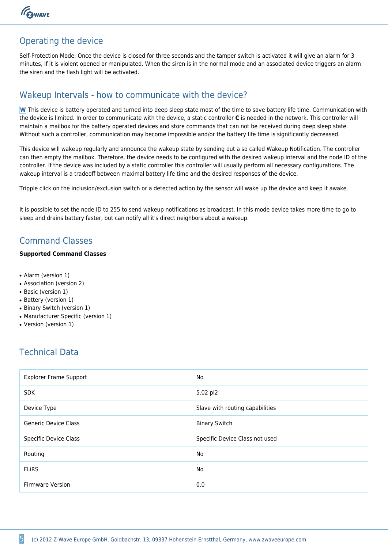

# Operating the device

Self-Protection Mode: Once the device is closed for three seconds and the tamper switch is activated it will give an alarm for 3 minutes, if it is violent opened or manipulated. When the siren is in the normal mode and an associated device triggers an alarm the siren and the flash light will be activated.

## Wakeup Intervals - how to communicate with the device?

**W** This device is battery operated and turned into deep sleep state most of the time to save battery life time. Communication with the device is limited. In order to communicate with the device, a static controller **C** is needed in the network. This controller will maintain a mailbox for the battery operated devices and store commands that can not be received during deep sleep state. Without such a controller, communication may become impossible and/or the battery life time is significantly decreased.

This device will wakeup regularly and announce the wakeup state by sending out a so called Wakeup Notification. The controller can then empty the mailbox. Therefore, the device needs to be configured with the desired wakeup interval and the node ID of the controller. If the device was included by a static controller this controller will usually perform all necessary configurations. The wakeup interval is a tradeoff between maximal battery life time and the desired responses of the device.

Tripple click on the inclusion/exclusion switch or a detected action by the sensor will wake up the device and keep it awake.

It is possible to set the node ID to 255 to send wakeup notifications as broadcast. In this mode device takes more time to go to sleep and drains battery faster, but can notify all it's direct neighbors about a wakeup.

# Command Classes

#### **Supported Command Classes**

- Alarm (version 1)
- Association (version 2)
- Basic (version 1)
- Battery (version 1)
- Binary Switch (version 1)
- Manufacturer Specific (version 1)
- Version (version 1)

# Technical Data

| <b>Explorer Frame Support</b> | <b>No</b>                       |
|-------------------------------|---------------------------------|
| <b>SDK</b>                    | 5.02 pl2                        |
| Device Type                   | Slave with routing capabilities |
| <b>Generic Device Class</b>   | <b>Binary Switch</b>            |
| <b>Specific Device Class</b>  | Specific Device Class not used  |
| Routing                       | No                              |
| <b>FLIRS</b>                  | No                              |
| <b>Firmware Version</b>       | 0.0                             |